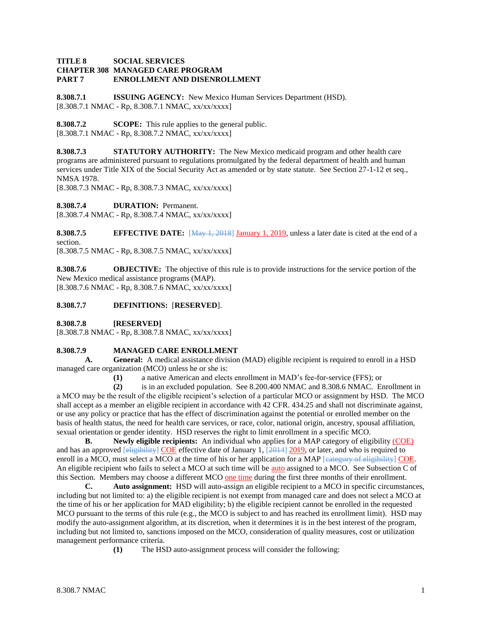### **TITLE 8 SOCIAL SERVICES CHAPTER 308 MANAGED CARE PROGRAM PART 7 ENROLLMENT AND DISENROLLMENT**

**8.308.7.1 ISSUING AGENCY:** New Mexico Human Services Department (HSD). [8.308.7.1 NMAC - Rp, 8.308.7.1 NMAC, xx/xx/xxxx]

**8.308.7.2 SCOPE:** This rule applies to the general public. [8.308.7.1 NMAC - Rp, 8.308.7.2 NMAC, xx/xx/xxxx]

**8.308.7.3 STATUTORY AUTHORITY:** The New Mexico medicaid program and other health care programs are administered pursuant to regulations promulgated by the federal department of health and human services under Title XIX of the Social Security Act as amended or by state statute. See Section 27-1-12 et seq., NMSA 1978.

[8.308.7.3 NMAC - Rp, 8.308.7.3 NMAC, xx/xx/xxxx]

**8.308.7.4 DURATION:** Permanent.

[8.308.7.4 NMAC - Rp, 8.308.7.4 NMAC, xx/xx/xxxx]

**8.308.7.5 EFFECTIVE DATE:** [May 1, 2018] January 1, 2019, unless a later date is cited at the end of a section.

[8.308.7.5 NMAC - Rp, 8.308.7.5 NMAC, xx/xx/xxxx]

**8.308.7.6 OBJECTIVE:** The objective of this rule is to provide instructions for the service portion of the New Mexico medical assistance programs (MAP). [8.308.7.6 NMAC - Rp, 8.308.7.6 NMAC, xx/xx/xxxx]

**8.308.7.7 DEFINITIONS:** [**RESERVED**].

**8.308.7.8 [RESERVED]**

[8.308.7.8 NMAC - Rp, 8.308.7.8 NMAC, xx/xx/xxxx]

# **8.308.7.9 MANAGED CARE ENROLLMENT**

**A. General:** A medical assistance division (MAD) eligible recipient is required to enroll in a HSD managed care organization (MCO) unless he or she is:

**(1)** a native American and elects enrollment in MAD's fee-for-service (FFS); or

**(2)** is in an excluded population. See 8.200.400 NMAC and 8.308.6 NMAC. Enrollment in a MCO may be the result of the eligible recipient's selection of a particular MCO or assignment by HSD. The MCO shall accept as a member an eligible recipient in accordance with 42 CFR. 434.25 and shall not discriminate against, or use any policy or practice that has the effect of discrimination against the potential or enrolled member on the basis of health status, the need for health care services, or race, color, national origin, ancestry, spousal affiliation, sexual orientation or gender identity. HSD reserves the right to limit enrollment in a specific MCO.

**B.** Newly eligible recipients: An individual who applies for a MAP category of eligibility (COE) and has an approved [eligibility] COE effective date of January 1, [2014] 2019, or later, and who is required to enroll in a MCO, must select a MCO at the time of his or her application for a MAP [category of eligibility] COE. An eligible recipient who fails to select a MCO at such time will be auto assigned to a MCO. See Subsection C of this Section. Members may choose a different MCO one time during the first three months of their enrollment.

**C. Auto assignment:** HSD will auto-assign an eligible recipient to a MCO in specific circumstances, including but not limited to: a) the eligible recipient is not exempt from managed care and does not select a MCO at the time of his or her application for MAD eligibility; b) the eligible recipient cannot be enrolled in the requested MCO pursuant to the terms of this rule (e.g., the MCO is subject to and has reached its enrollment limit). HSD may modify the auto-assignment algorithm, at its discretion, when it determines it is in the best interest of the program, including but not limited to, sanctions imposed on the MCO, consideration of quality measures, cost or utilization management performance criteria.

**(1)** The HSD auto-assignment process will consider the following: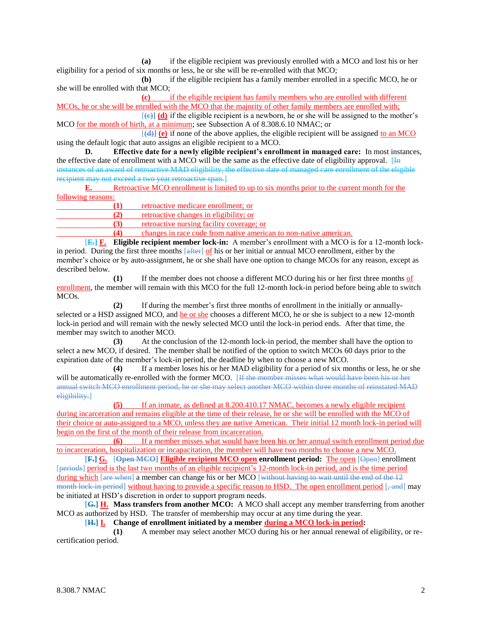**(a)** if the eligible recipient was previously enrolled with a MCO and lost his or her eligibility for a period of six months or less, he or she will be re-enrolled with that MCO;

**(b)** if the eligible recipient has a family member enrolled in a specific MCO, he or she will be enrolled with that MCO;

**(c)** if the eligible recipient has family members who are enrolled with different MCOs, he or she will be enrolled with the MCO that the majority of other family members are enrolled with;

 $[\epsilon]$  **(d)** if the eligible recipient is a newborn, he or she will be assigned to the mother's MCO for the month of birth, at a minimum; see Subsection A of 8.308.6.10 NMAC; or

 $[\textbf{(d)}]$  (e) if none of the above applies, the eligible recipient will be assigned to an MCO using the default logic that auto assigns an eligible recipient to a MCO.

**D. Effective date for a newly eligible recipient's enrollment in managed care:** In most instances, the effective date of enrollment with a MCO will be the same as the effective date of eligibility approval.  $[H<sub>H</sub>]$ instances of an award of retroactive MAD eligibility, the effective date of managed care enrollment of the eligible recipient may not exceed a two year retroactive span.]

**E.** Retroactive MCO enrollment is limited to up to six months prior to the current month for the following reasons:

|     | retroactive medicare enrollment: or                                                   |
|-----|---------------------------------------------------------------------------------------|
|     | retroactive changes in eligibility; or                                                |
| (3) | retroactive nursing facility coverage; or                                             |
|     | . The contract of the contract of the following contract the contract of $\mathbf{f}$ |

**(4)** changes in race code from native american to non-native american.

[**E.] F. Eligible recipient member lock-in:** A member's enrollment with a MCO is for a 12-month lockin period. During the first three months [after] of his or her initial or annual MCO enrollment, either by the member's choice or by auto-assignment, he or she shall have one option to change MCOs for any reason, except as described below.

**(1)** If the member does not choose a different MCO during his or her first three months of enrollment, the member will remain with this MCO for the full 12-month lock-in period before being able to switch MCOs.

**(2)** If during the member's first three months of enrollment in the initially or annuallyselected or a HSD assigned MCO, and he or she chooses a different MCO, he or she is subject to a new 12-month lock-in period and will remain with the newly selected MCO until the lock-in period ends. After that time, the member may switch to another MCO.

**(3)** At the conclusion of the 12-month lock-in period, the member shall have the option to select a new MCO, if desired. The member shall be notified of the option to switch MCOs 60 days prior to the expiration date of the member's lock-in period, the deadline by when to choose a new MCO.

**(4)** If a member loses his or her MAD eligibility for a period of six months or less, he or she will be automatically re-enrolled with the former MCO. [If the member misses what would have been his or her annual switch MCO enrollment period, he or she may select another MCO within three months of reinstated MAD eligibility.]

**(5)** If an inmate, as defined at 8.200.410.17 NMAC, becomes a newly eligible recipient during incarceration and remains eligible at the time of their release, he or she will be enrolled with the MCO of their choice or auto-assigned to a MCO, unless they are native American. Their initial 12 month lock-in period will begin on the first of the month of their release from incarceration.

**(6)** If a member misses what would have been his or her annual switch enrollment period due to incarceration, hospitalization or incapacitation, the member will have two months to choose a new MCO.

[**F.] G.** [**Open MCO] Eligible recipient MCO open enrollment period:** The open [Open] enrollment [periods] period is the last two months of an eligible recipient's 12-month lock-in period, and is the time period during which [are when] a member can change his or her MCO [without having to wait until the end of the 12 month lock-in period] without having to provide a specific reason to HSD. The open enrollment period [, and] may be initiated at HSD's discretion in order to support program needs.

[**G.] H. Mass transfers from another MCO:** A MCO shall accept any member transferring from another MCO as authorized by HSD. The transfer of membership may occur at any time during the year.

[**H.] I. Change of enrollment initiated by a member during a MCO lock-in period:**

**(1)** A member may select another MCO during his or her annual renewal of eligibility, or recertification period.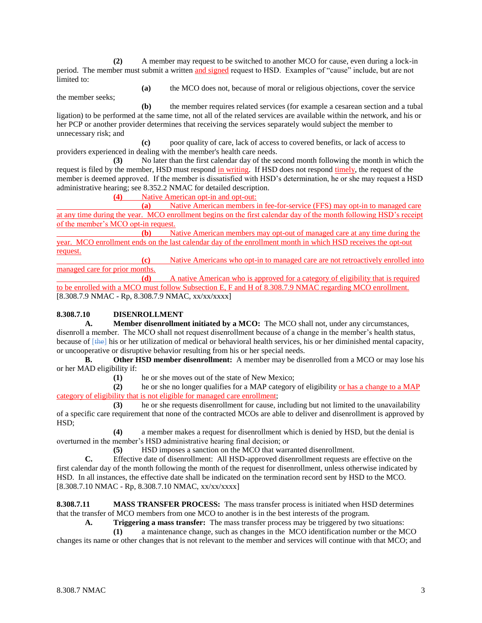**(2)** A member may request to be switched to another MCO for cause, even during a lock-in period. The member must submit a written and signed request to HSD. Examples of "cause" include, but are not limited to:

**(a)** the MCO does not, because of moral or religious objections, cover the service the member seeks;

**(b)** the member requires related services (for example a cesarean section and a tubal ligation) to be performed at the same time, not all of the related services are available within the network, and his or her PCP or another provider determines that receiving the services separately would subject the member to unnecessary risk; and

**(c)** poor quality of care, lack of access to covered benefits, or lack of access to providers experienced in dealing with the member's health care needs.

**(3)** No later than the first calendar day of the second month following the month in which the request is filed by the member, HSD must respond in writing. If HSD does not respond timely, the request of the member is deemed approved. If the member is dissatisfied with HSD's determination, he or she may request a HSD administrative hearing; see 8.352.2 NMAC for detailed description.

**(4)** Native American opt-in and opt-out:

**(a)** Native American members in fee-for-service (FFS) may opt-in to managed care at any time during the year. MCO enrollment begins on the first calendar day of the month following HSD's receipt of the member's MCO opt-in request.

**(b)** Native American members may opt-out of managed care at any time during the year. MCO enrollment ends on the last calendar day of the enrollment month in which HSD receives the opt-out request.

**(c)** Native Americans who opt-in to managed care are not retroactively enrolled into managed care for prior months.

**(d)** A native American who is approved for a category of eligibility that is required to be enrolled with a MCO must follow Subsection E, F and H of 8.308.7.9 NMAC regarding MCO enrollment. [8.308.7.9 NMAC - Rp, 8.308.7.9 NMAC, xx/xx/xxxx]

# **8.308.7.10 DISENROLLMENT**

**A. Member disenrollment initiated by a MCO:** The MCO shall not, under any circumstances, disenroll a member. The MCO shall not request disenrollment because of a change in the member's health status, because of [the] his or her utilization of medical or behavioral health services, his or her diminished mental capacity, or uncooperative or disruptive behavior resulting from his or her special needs.

**B. Other HSD member disenrollment:** A member may be disenrolled from a MCO or may lose his or her MAD eligibility if:

**(1)** he or she moves out of the state of New Mexico;

**(2)** he or she no longer qualifies for a MAP category of eligibility or has a change to a MAP category of eligibility that is not eligible for managed care enrollment;

**(3)** he or she requests disenrollment for cause, including but not limited to the unavailability of a specific care requirement that none of the contracted MCOs are able to deliver and disenrollment is approved by HSD;

**(4)** a member makes a request for disenrollment which is denied by HSD, but the denial is overturned in the member's HSD administrative hearing final decision; or

**(5)** HSD imposes a sanction on the MCO that warranted disenrollment.

**C.** Effective date of disenrollment: All HSD-approved disenrollment requests are effective on the first calendar day of the month following the month of the request for disenrollment, unless otherwise indicated by HSD. In all instances, the effective date shall be indicated on the termination record sent by HSD to the MCO. [8.308.7.10 NMAC - Rp, 8.308.7.10 NMAC, xx/xx/xxxx]

**8.308.7.11 MASS TRANSFER PROCESS:** The mass transfer process is initiated when HSD determines that the transfer of MCO members from one MCO to another is in the best interests of the program.

**A. Triggering a mass transfer:** The mass transfer process may be triggered by two situations:

**(1)** a maintenance change, such as changes in the MCO identification number or the MCO

changes its name or other changes that is not relevant to the member and services will continue with that MCO; and